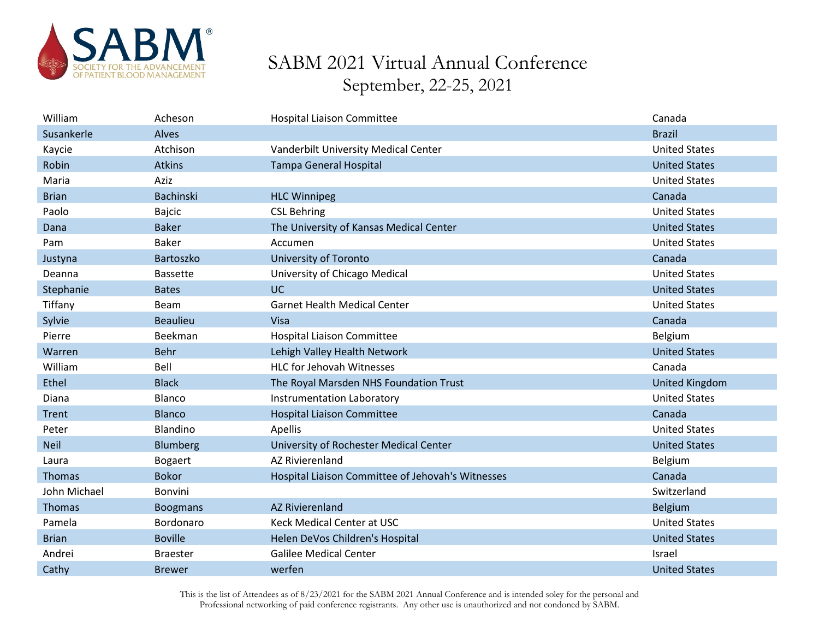

| William      | Acheson         | <b>Hospital Liaison Committee</b>                 | Canada               |
|--------------|-----------------|---------------------------------------------------|----------------------|
| Susankerle   | Alves           |                                                   | <b>Brazil</b>        |
| Kaycie       | Atchison        | Vanderbilt University Medical Center              | <b>United States</b> |
| Robin        | Atkins          | <b>Tampa General Hospital</b>                     | <b>United States</b> |
| Maria        | Aziz            |                                                   | <b>United States</b> |
| <b>Brian</b> | Bachinski       | <b>HLC Winnipeg</b>                               | Canada               |
| Paolo        | Bajcic          | <b>CSL Behring</b>                                | <b>United States</b> |
| Dana         | <b>Baker</b>    | The University of Kansas Medical Center           | <b>United States</b> |
| Pam          | <b>Baker</b>    | Accumen                                           | <b>United States</b> |
| Justyna      | Bartoszko       | <b>University of Toronto</b>                      | Canada               |
| Deanna       | <b>Bassette</b> | University of Chicago Medical                     | <b>United States</b> |
| Stephanie    | <b>Bates</b>    | <b>UC</b>                                         | <b>United States</b> |
| Tiffany      | <b>Beam</b>     | <b>Garnet Health Medical Center</b>               | <b>United States</b> |
| Sylvie       | <b>Beaulieu</b> | Visa                                              | Canada               |
| Pierre       | Beekman         | <b>Hospital Liaison Committee</b>                 | Belgium              |
| Warren       | <b>Behr</b>     | Lehigh Valley Health Network                      | <b>United States</b> |
| William      | Bell            | <b>HLC for Jehovah Witnesses</b>                  | Canada               |
| Ethel        | <b>Black</b>    | The Royal Marsden NHS Foundation Trust            | United Kingdom       |
| Diana        | Blanco          | <b>Instrumentation Laboratory</b>                 | <b>United States</b> |
| Trent        | <b>Blanco</b>   | <b>Hospital Liaison Committee</b>                 | Canada               |
| Peter        | Blandino        | Apellis                                           | <b>United States</b> |
| <b>Neil</b>  | Blumberg        | University of Rochester Medical Center            | <b>United States</b> |
| Laura        | <b>Bogaert</b>  | <b>AZ Rivierenland</b>                            | Belgium              |
| Thomas       | <b>Bokor</b>    | Hospital Liaison Committee of Jehovah's Witnesses | Canada               |
| John Michael | Bonvini         |                                                   | Switzerland          |
| Thomas       | <b>Boogmans</b> | <b>AZ Rivierenland</b>                            | Belgium              |
| Pamela       | Bordonaro       | <b>Keck Medical Center at USC</b>                 | <b>United States</b> |
| <b>Brian</b> | <b>Boville</b>  | Helen DeVos Children's Hospital                   | <b>United States</b> |
| Andrei       | <b>Braester</b> | <b>Galilee Medical Center</b>                     | Israel               |
| Cathy        | <b>Brewer</b>   | werfen                                            | <b>United States</b> |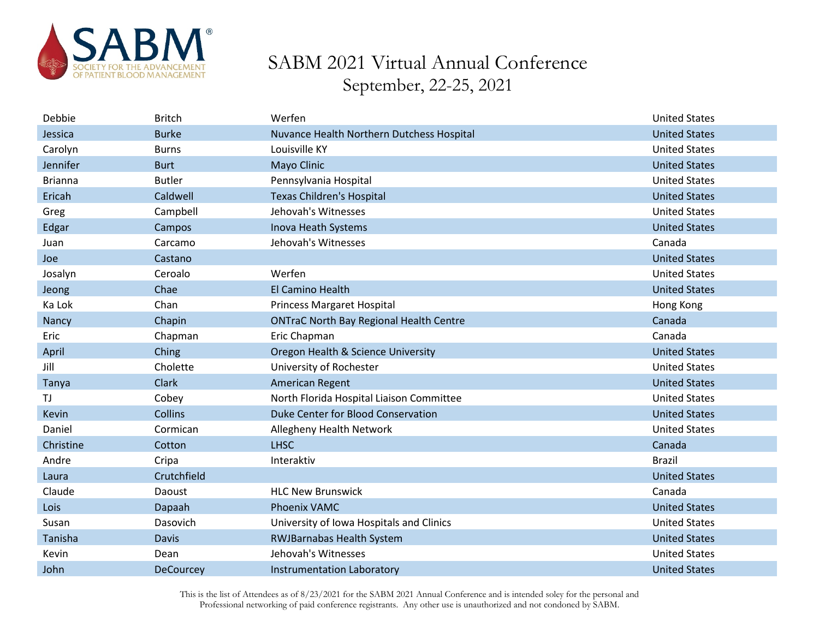

| Debbie         | <b>Britch</b>    | Werfen                                         | <b>United States</b> |
|----------------|------------------|------------------------------------------------|----------------------|
| Jessica        | <b>Burke</b>     | Nuvance Health Northern Dutchess Hospital      | <b>United States</b> |
| Carolyn        | <b>Burns</b>     | Louisville KY                                  | <b>United States</b> |
| Jennifer       | <b>Burt</b>      | Mayo Clinic                                    | <b>United States</b> |
| <b>Brianna</b> | <b>Butler</b>    | Pennsylvania Hospital                          | <b>United States</b> |
| Ericah         | Caldwell         | <b>Texas Children's Hospital</b>               | <b>United States</b> |
| Greg           | Campbell         | Jehovah's Witnesses                            | <b>United States</b> |
| Edgar          | Campos           | Inova Heath Systems                            | <b>United States</b> |
| Juan           | Carcamo          | Jehovah's Witnesses                            | Canada               |
| Joe            | Castano          |                                                | <b>United States</b> |
| Josalyn        | Ceroalo          | Werfen                                         | <b>United States</b> |
| Jeong          | Chae             | El Camino Health                               | <b>United States</b> |
| Ka Lok         | Chan             | <b>Princess Margaret Hospital</b>              | Hong Kong            |
| Nancy          | Chapin           | <b>ONTraC North Bay Regional Health Centre</b> | Canada               |
| Eric           | Chapman          | Eric Chapman                                   | Canada               |
| April          | Ching            | Oregon Health & Science University             | <b>United States</b> |
| Jill           | Cholette         | University of Rochester                        | <b>United States</b> |
| Tanya          | <b>Clark</b>     | American Regent                                | <b>United States</b> |
| TJ.            | Cobey            | North Florida Hospital Liaison Committee       | <b>United States</b> |
| Kevin          | Collins          | Duke Center for Blood Conservation             | <b>United States</b> |
| Daniel         | Cormican         | Allegheny Health Network                       | <b>United States</b> |
| Christine      | Cotton           | <b>LHSC</b>                                    | Canada               |
| Andre          | Cripa            | Interaktiv                                     | <b>Brazil</b>        |
| Laura          | Crutchfield      |                                                | <b>United States</b> |
| Claude         | Daoust           | <b>HLC New Brunswick</b>                       | Canada               |
| Lois           | Dapaah           | <b>Phoenix VAMC</b>                            | <b>United States</b> |
| Susan          | Dasovich         | University of Iowa Hospitals and Clinics       | <b>United States</b> |
| Tanisha        | <b>Davis</b>     | <b>RWJBarnabas Health System</b>               | <b>United States</b> |
| Kevin          | Dean             | Jehovah's Witnesses                            | <b>United States</b> |
| John           | <b>DeCourcey</b> | Instrumentation Laboratory                     | <b>United States</b> |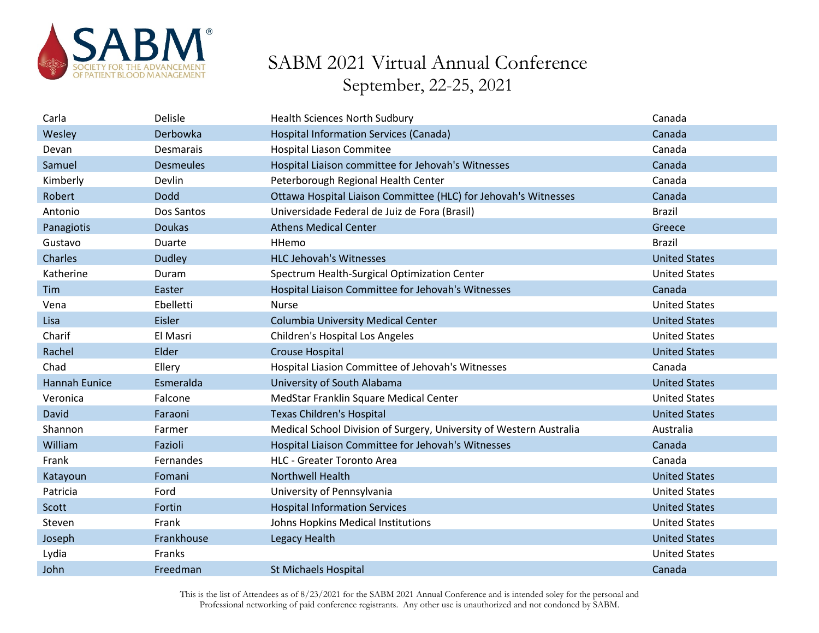

| Carla                | Delisle          | <b>Health Sciences North Sudbury</b>                                | Canada               |
|----------------------|------------------|---------------------------------------------------------------------|----------------------|
| Wesley               | Derbowka         | <b>Hospital Information Services (Canada)</b>                       | Canada               |
| Devan                | <b>Desmarais</b> | <b>Hospital Liason Commitee</b>                                     | Canada               |
| Samuel               | <b>Desmeules</b> | Hospital Liaison committee for Jehovah's Witnesses                  | Canada               |
| Kimberly             | Devlin           | Peterborough Regional Health Center                                 | Canada               |
| Robert               | <b>Dodd</b>      | Ottawa Hospital Liaison Committee (HLC) for Jehovah's Witnesses     | Canada               |
| Antonio              | Dos Santos       | Universidade Federal de Juiz de Fora (Brasil)                       | <b>Brazil</b>        |
| Panagiotis           | <b>Doukas</b>    | <b>Athens Medical Center</b>                                        | Greece               |
| Gustavo              | Duarte           | HHemo                                                               | <b>Brazil</b>        |
| Charles              | <b>Dudley</b>    | <b>HLC Jehovah's Witnesses</b>                                      | <b>United States</b> |
| Katherine            | Duram            | Spectrum Health-Surgical Optimization Center                        | <b>United States</b> |
| Tim                  | Easter           | Hospital Liaison Committee for Jehovah's Witnesses                  | Canada               |
| Vena                 | Ebelletti        | <b>Nurse</b>                                                        | <b>United States</b> |
| Lisa                 | Eisler           | <b>Columbia University Medical Center</b>                           | <b>United States</b> |
| Charif               | El Masri         | Children's Hospital Los Angeles                                     | <b>United States</b> |
| Rachel               | Elder            | <b>Crouse Hospital</b>                                              | <b>United States</b> |
| Chad                 | Ellery           | Hospital Liasion Committee of Jehovah's Witnesses                   | Canada               |
| <b>Hannah Eunice</b> | Esmeralda        | University of South Alabama                                         | <b>United States</b> |
| Veronica             | Falcone          | MedStar Franklin Square Medical Center                              | <b>United States</b> |
| David                | Faraoni          | <b>Texas Children's Hospital</b>                                    | <b>United States</b> |
| Shannon              | Farmer           | Medical School Division of Surgery, University of Western Australia | Australia            |
| William              | Fazioli          | Hospital Liaison Committee for Jehovah's Witnesses                  | Canada               |
| Frank                | Fernandes        | <b>HLC - Greater Toronto Area</b>                                   | Canada               |
| Katayoun             | Fomani           | <b>Northwell Health</b>                                             | <b>United States</b> |
| Patricia             | Ford             | University of Pennsylvania                                          | <b>United States</b> |
| Scott                | Fortin           | <b>Hospital Information Services</b>                                | <b>United States</b> |
| Steven               | Frank            | Johns Hopkins Medical Institutions                                  | <b>United States</b> |
| Joseph               | Frankhouse       | Legacy Health                                                       | <b>United States</b> |
| Lydia                | Franks           |                                                                     | <b>United States</b> |
| John                 | Freedman         | <b>St Michaels Hospital</b>                                         | Canada               |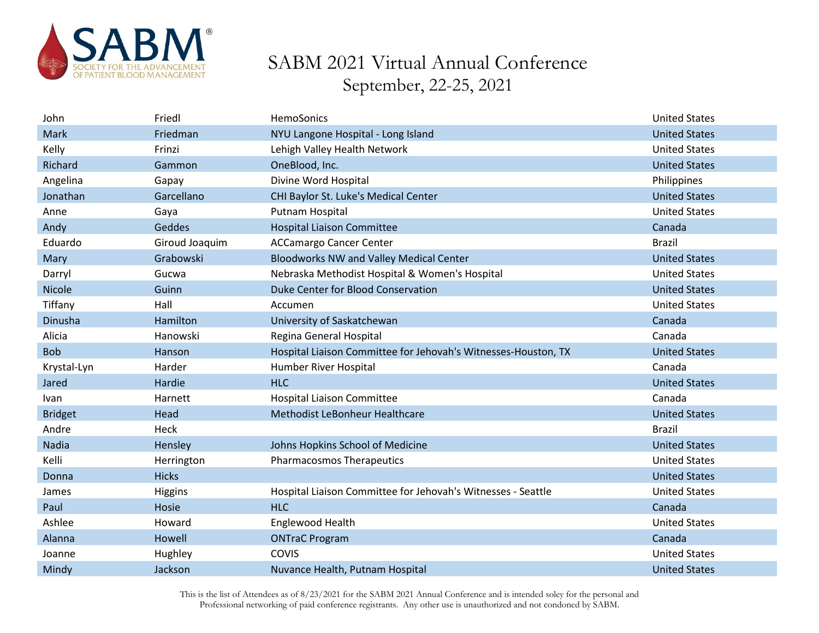

| John           | Friedl         | HemoSonics                                                     | <b>United States</b> |
|----------------|----------------|----------------------------------------------------------------|----------------------|
| Mark           | Friedman       | NYU Langone Hospital - Long Island                             | <b>United States</b> |
| Kelly          | Frinzi         | Lehigh Valley Health Network                                   | <b>United States</b> |
| Richard        | Gammon         | OneBlood, Inc.                                                 | <b>United States</b> |
| Angelina       | Gapay          | Divine Word Hospital                                           | Philippines          |
| Jonathan       | Garcellano     | CHI Baylor St. Luke's Medical Center                           | <b>United States</b> |
| Anne           | Gaya           | Putnam Hospital                                                | <b>United States</b> |
| Andy           | Geddes         | <b>Hospital Liaison Committee</b>                              | Canada               |
| Eduardo        | Giroud Joaquim | <b>ACCamargo Cancer Center</b>                                 | <b>Brazil</b>        |
| Mary           | Grabowski      | <b>Bloodworks NW and Valley Medical Center</b>                 | <b>United States</b> |
| Darryl         | Gucwa          | Nebraska Methodist Hospital & Women's Hospital                 | <b>United States</b> |
| Nicole         | Guinn          | Duke Center for Blood Conservation                             | <b>United States</b> |
| Tiffany        | Hall           | Accumen                                                        | <b>United States</b> |
| Dinusha        | Hamilton       | University of Saskatchewan                                     | Canada               |
| Alicia         | Hanowski       | Regina General Hospital                                        | Canada               |
| <b>Bob</b>     | Hanson         | Hospital Liaison Committee for Jehovah's Witnesses-Houston, TX | <b>United States</b> |
| Krystal-Lyn    | Harder         | Humber River Hospital                                          | Canada               |
| Jared          | Hardie         | <b>HLC</b>                                                     | <b>United States</b> |
| <b>Ivan</b>    | Harnett        | <b>Hospital Liaison Committee</b>                              | Canada               |
| <b>Bridget</b> | Head           | Methodist LeBonheur Healthcare                                 | <b>United States</b> |
| Andre          | Heck           |                                                                | <b>Brazil</b>        |
| Nadia          | Hensley        | Johns Hopkins School of Medicine                               | <b>United States</b> |
| Kelli          | Herrington     | <b>Pharmacosmos Therapeutics</b>                               | <b>United States</b> |
| Donna          | <b>Hicks</b>   |                                                                | <b>United States</b> |
| James          | Higgins        | Hospital Liaison Committee for Jehovah's Witnesses - Seattle   | <b>United States</b> |
| Paul           | Hosie          | <b>HLC</b>                                                     | Canada               |
| Ashlee         | Howard         | Englewood Health                                               | <b>United States</b> |
| Alanna         | Howell         | <b>ONTraC Program</b>                                          | Canada               |
| Joanne         | Hughley        | COVIS                                                          | <b>United States</b> |
| Mindy          | Jackson        | Nuvance Health, Putnam Hospital                                | <b>United States</b> |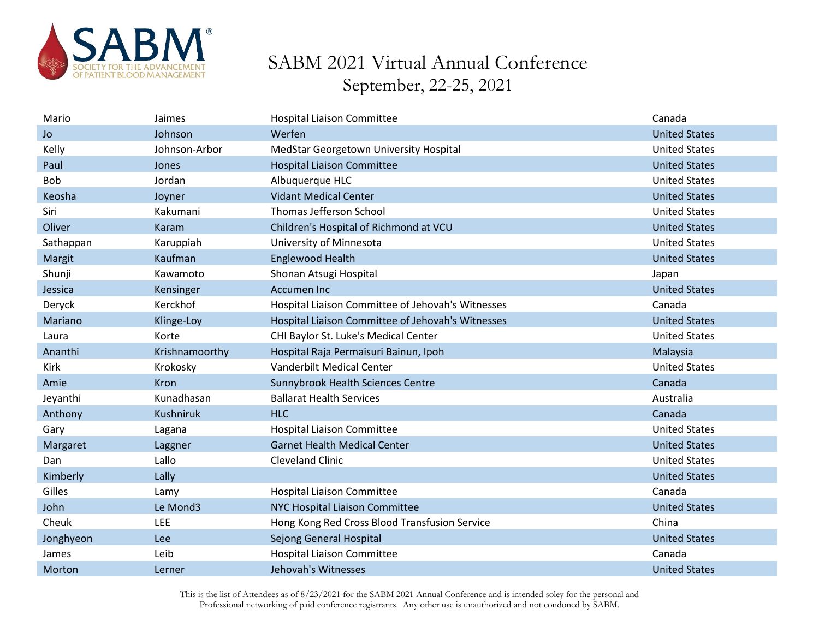

| Mario      | Jaimes           | <b>Hospital Liaison Committee</b>                 | Canada               |
|------------|------------------|---------------------------------------------------|----------------------|
| <b>Jo</b>  | Johnson          | Werfen                                            | <b>United States</b> |
| Kelly      | Johnson-Arbor    | MedStar Georgetown University Hospital            | <b>United States</b> |
| Paul       | Jones            | <b>Hospital Liaison Committee</b>                 | <b>United States</b> |
| <b>Bob</b> | Jordan           | Albuquerque HLC                                   | <b>United States</b> |
| Keosha     | Joyner           | <b>Vidant Medical Center</b>                      | <b>United States</b> |
| Siri       | Kakumani         | Thomas Jefferson School                           | <b>United States</b> |
| Oliver     | Karam            | Children's Hospital of Richmond at VCU            | <b>United States</b> |
| Sathappan  | Karuppiah        | University of Minnesota                           | <b>United States</b> |
| Margit     | Kaufman          | <b>Englewood Health</b>                           | <b>United States</b> |
| Shunji     | Kawamoto         | Shonan Atsugi Hospital                            | Japan                |
| Jessica    | Kensinger        | <b>Accumen Inc</b>                                | <b>United States</b> |
| Deryck     | Kerckhof         | Hospital Liaison Committee of Jehovah's Witnesses | Canada               |
| Mariano    | Klinge-Loy       | Hospital Liaison Committee of Jehovah's Witnesses | <b>United States</b> |
| Laura      | Korte            | CHI Baylor St. Luke's Medical Center              | <b>United States</b> |
| Ananthi    | Krishnamoorthy   | Hospital Raja Permaisuri Bainun, Ipoh             | Malaysia             |
| Kirk       | Krokosky         | <b>Vanderbilt Medical Center</b>                  | <b>United States</b> |
| Amie       | Kron             | Sunnybrook Health Sciences Centre                 | Canada               |
| Jeyanthi   | Kunadhasan       | <b>Ballarat Health Services</b>                   | Australia            |
| Anthony    | <b>Kushniruk</b> | <b>HLC</b>                                        | Canada               |
| Gary       | Lagana           | <b>Hospital Liaison Committee</b>                 | <b>United States</b> |
| Margaret   | Laggner          | <b>Garnet Health Medical Center</b>               | <b>United States</b> |
| Dan        | Lallo            | <b>Cleveland Clinic</b>                           | <b>United States</b> |
| Kimberly   | Lally            |                                                   | <b>United States</b> |
| Gilles     | Lamy             | <b>Hospital Liaison Committee</b>                 | Canada               |
| John       | Le Mond3         | NYC Hospital Liaison Committee                    | <b>United States</b> |
| Cheuk      | LEE              | Hong Kong Red Cross Blood Transfusion Service     | China                |
| Jonghyeon  | Lee              | Sejong General Hospital                           | <b>United States</b> |
| James      | Leib             | <b>Hospital Liaison Committee</b>                 | Canada               |
| Morton     | Lerner           | Jehovah's Witnesses                               | <b>United States</b> |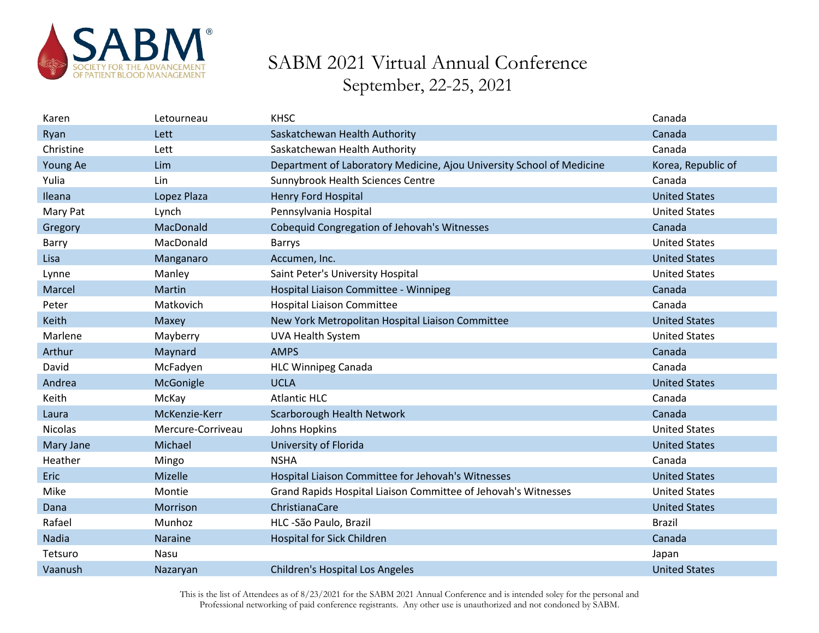

| Karen          | Letourneau        | <b>KHSC</b>                                                           | Canada               |
|----------------|-------------------|-----------------------------------------------------------------------|----------------------|
| Ryan           | Lett              | Saskatchewan Health Authority                                         | Canada               |
| Christine      | Lett              | Saskatchewan Health Authority                                         | Canada               |
| Young Ae       | Lim               | Department of Laboratory Medicine, Ajou University School of Medicine | Korea, Republic of   |
| Yulia          | Lin               | Sunnybrook Health Sciences Centre                                     | Canada               |
| Ileana         | Lopez Plaza       | <b>Henry Ford Hospital</b>                                            | <b>United States</b> |
| Mary Pat       | Lynch             | Pennsylvania Hospital                                                 | <b>United States</b> |
| Gregory        | MacDonald         | Cobequid Congregation of Jehovah's Witnesses                          | Canada               |
| Barry          | MacDonald         | <b>Barrys</b>                                                         | <b>United States</b> |
| Lisa           | Manganaro         | Accumen, Inc.                                                         | <b>United States</b> |
| Lynne          | Manley            | Saint Peter's University Hospital                                     | <b>United States</b> |
| Marcel         | Martin            | Hospital Liaison Committee - Winnipeg                                 | Canada               |
| Peter          | Matkovich         | <b>Hospital Liaison Committee</b>                                     | Canada               |
| Keith          | Maxey             | New York Metropolitan Hospital Liaison Committee                      | <b>United States</b> |
| Marlene        | Mayberry          | <b>UVA Health System</b>                                              | <b>United States</b> |
| Arthur         | Maynard           | <b>AMPS</b>                                                           | Canada               |
| David          | McFadyen          | <b>HLC Winnipeg Canada</b>                                            | Canada               |
| Andrea         | McGonigle         | <b>UCLA</b>                                                           | <b>United States</b> |
| Keith          | McKay             | <b>Atlantic HLC</b>                                                   | Canada               |
| Laura          | McKenzie-Kerr     | Scarborough Health Network                                            | Canada               |
| <b>Nicolas</b> | Mercure-Corriveau | Johns Hopkins                                                         | <b>United States</b> |
| Mary Jane      | Michael           | University of Florida                                                 | <b>United States</b> |
| Heather        | Mingo             | <b>NSHA</b>                                                           | Canada               |
| <b>Eric</b>    | Mizelle           | Hospital Liaison Committee for Jehovah's Witnesses                    | <b>United States</b> |
| Mike           | Montie            | Grand Rapids Hospital Liaison Committee of Jehovah's Witnesses        | <b>United States</b> |
| Dana           | Morrison          | ChristianaCare                                                        | <b>United States</b> |
| Rafael         | Munhoz            | HLC -São Paulo, Brazil                                                | <b>Brazil</b>        |
| Nadia          | Naraine           | Hospital for Sick Children                                            | Canada               |
| Tetsuro        | Nasu              |                                                                       | Japan                |
| Vaanush        | Nazaryan          | <b>Children's Hospital Los Angeles</b>                                | <b>United States</b> |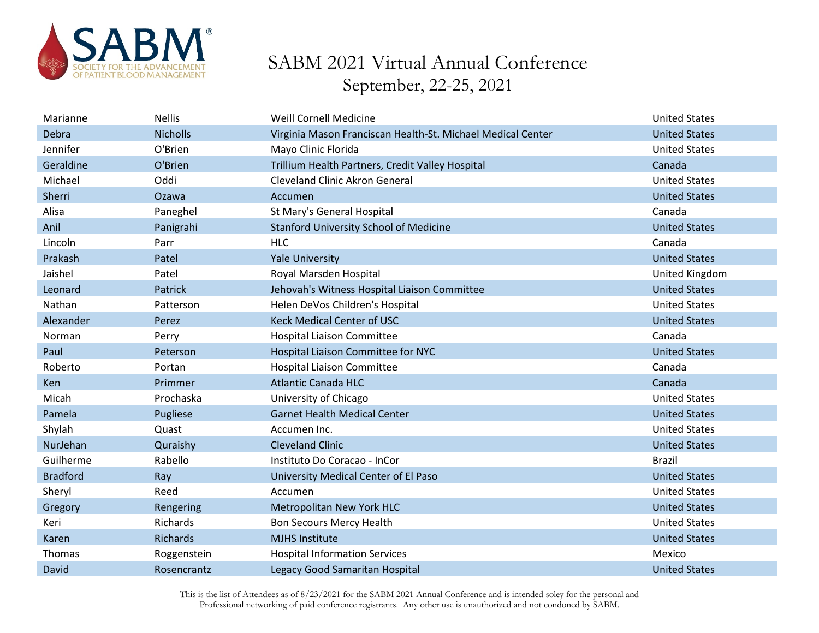

| Marianne        | <b>Nellis</b>   | <b>Weill Cornell Medicine</b>                               | <b>United States</b> |
|-----------------|-----------------|-------------------------------------------------------------|----------------------|
| Debra           | <b>Nicholls</b> | Virginia Mason Franciscan Health-St. Michael Medical Center | <b>United States</b> |
| Jennifer        | O'Brien         | Mayo Clinic Florida                                         | <b>United States</b> |
| Geraldine       | O'Brien         | Trillium Health Partners, Credit Valley Hospital            | Canada               |
| Michael         | Oddi            | <b>Cleveland Clinic Akron General</b>                       | <b>United States</b> |
| Sherri          | Ozawa           | Accumen                                                     | <b>United States</b> |
| Alisa           | Paneghel        | St Mary's General Hospital                                  | Canada               |
| Anil            | Panigrahi       | <b>Stanford University School of Medicine</b>               | <b>United States</b> |
| Lincoln         | Parr            | <b>HLC</b>                                                  | Canada               |
| Prakash         | Patel           | <b>Yale University</b>                                      | <b>United States</b> |
| Jaishel         | Patel           | Royal Marsden Hospital                                      | United Kingdom       |
| Leonard         | Patrick         | Jehovah's Witness Hospital Liaison Committee                | <b>United States</b> |
| Nathan          | Patterson       | Helen DeVos Children's Hospital                             | <b>United States</b> |
| Alexander       | Perez           | <b>Keck Medical Center of USC</b>                           | <b>United States</b> |
| Norman          | Perry           | <b>Hospital Liaison Committee</b>                           | Canada               |
| Paul            | Peterson        | Hospital Liaison Committee for NYC                          | <b>United States</b> |
| Roberto         | Portan          | <b>Hospital Liaison Committee</b>                           | Canada               |
| Ken             | Primmer         | <b>Atlantic Canada HLC</b>                                  | Canada               |
| Micah           | Prochaska       | University of Chicago                                       | <b>United States</b> |
| Pamela          | Pugliese        | <b>Garnet Health Medical Center</b>                         | <b>United States</b> |
| Shylah          | Quast           | Accumen Inc.                                                | <b>United States</b> |
| NurJehan        | Quraishy        | <b>Cleveland Clinic</b>                                     | <b>United States</b> |
| Guilherme       | Rabello         | Instituto Do Coracao - InCor                                | <b>Brazil</b>        |
| <b>Bradford</b> | Ray             | University Medical Center of El Paso                        | <b>United States</b> |
| Sheryl          | Reed            | Accumen                                                     | <b>United States</b> |
| Gregory         | Rengering       | Metropolitan New York HLC                                   | <b>United States</b> |
| Keri            | Richards        | Bon Secours Mercy Health                                    | <b>United States</b> |
| Karen           | Richards        | <b>MJHS Institute</b>                                       | <b>United States</b> |
| Thomas          | Roggenstein     | <b>Hospital Information Services</b>                        | Mexico               |
| David           | Rosencrantz     | Legacy Good Samaritan Hospital                              | <b>United States</b> |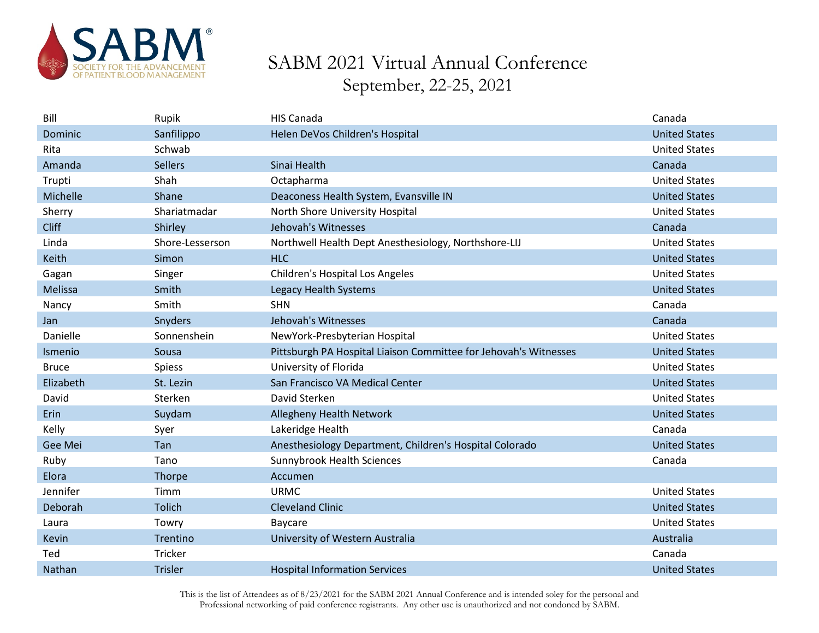

| Bill         | Rupik           | <b>HIS Canada</b>                                                | Canada               |
|--------------|-----------------|------------------------------------------------------------------|----------------------|
| Dominic      | Sanfilippo      | Helen DeVos Children's Hospital                                  | <b>United States</b> |
| Rita         | Schwab          |                                                                  | <b>United States</b> |
| Amanda       | <b>Sellers</b>  | Sinai Health                                                     | Canada               |
| Trupti       | Shah            | Octapharma                                                       | <b>United States</b> |
| Michelle     | Shane           | Deaconess Health System, Evansville IN                           | <b>United States</b> |
| Sherry       | Shariatmadar    | North Shore University Hospital                                  | <b>United States</b> |
| <b>Cliff</b> | Shirley         | Jehovah's Witnesses                                              | Canada               |
| Linda        | Shore-Lesserson | Northwell Health Dept Anesthesiology, Northshore-LIJ             | <b>United States</b> |
| Keith        | Simon           | <b>HLC</b>                                                       | <b>United States</b> |
| Gagan        | Singer          | Children's Hospital Los Angeles                                  | <b>United States</b> |
| Melissa      | Smith           | Legacy Health Systems                                            | <b>United States</b> |
| Nancy        | Smith           | <b>SHN</b>                                                       | Canada               |
| Jan          | Snyders         | Jehovah's Witnesses                                              | Canada               |
| Danielle     | Sonnenshein     | NewYork-Presbyterian Hospital                                    | <b>United States</b> |
| Ismenio      | Sousa           | Pittsburgh PA Hospital Liaison Committee for Jehovah's Witnesses | <b>United States</b> |
| <b>Bruce</b> | <b>Spiess</b>   | University of Florida                                            | <b>United States</b> |
| Elizabeth    | St. Lezin       | San Francisco VA Medical Center                                  | <b>United States</b> |
| David        | Sterken         | David Sterken                                                    | <b>United States</b> |
| Erin         | Suydam          | Allegheny Health Network                                         | <b>United States</b> |
| Kelly        | Syer            | Lakeridge Health                                                 | Canada               |
| Gee Mei      | Tan             | Anesthesiology Department, Children's Hospital Colorado          | <b>United States</b> |
| Ruby         | Tano            | Sunnybrook Health Sciences                                       | Canada               |
| Elora        | Thorpe          | Accumen                                                          |                      |
| Jennifer     | Timm            | <b>URMC</b>                                                      | <b>United States</b> |
| Deborah      | <b>Tolich</b>   | <b>Cleveland Clinic</b>                                          | <b>United States</b> |
| Laura        | Towry           | Baycare                                                          | <b>United States</b> |
| Kevin        | Trentino        | University of Western Australia                                  | Australia            |
| Ted          | Tricker         |                                                                  | Canada               |
| Nathan       | <b>Trisler</b>  | <b>Hospital Information Services</b>                             | <b>United States</b> |